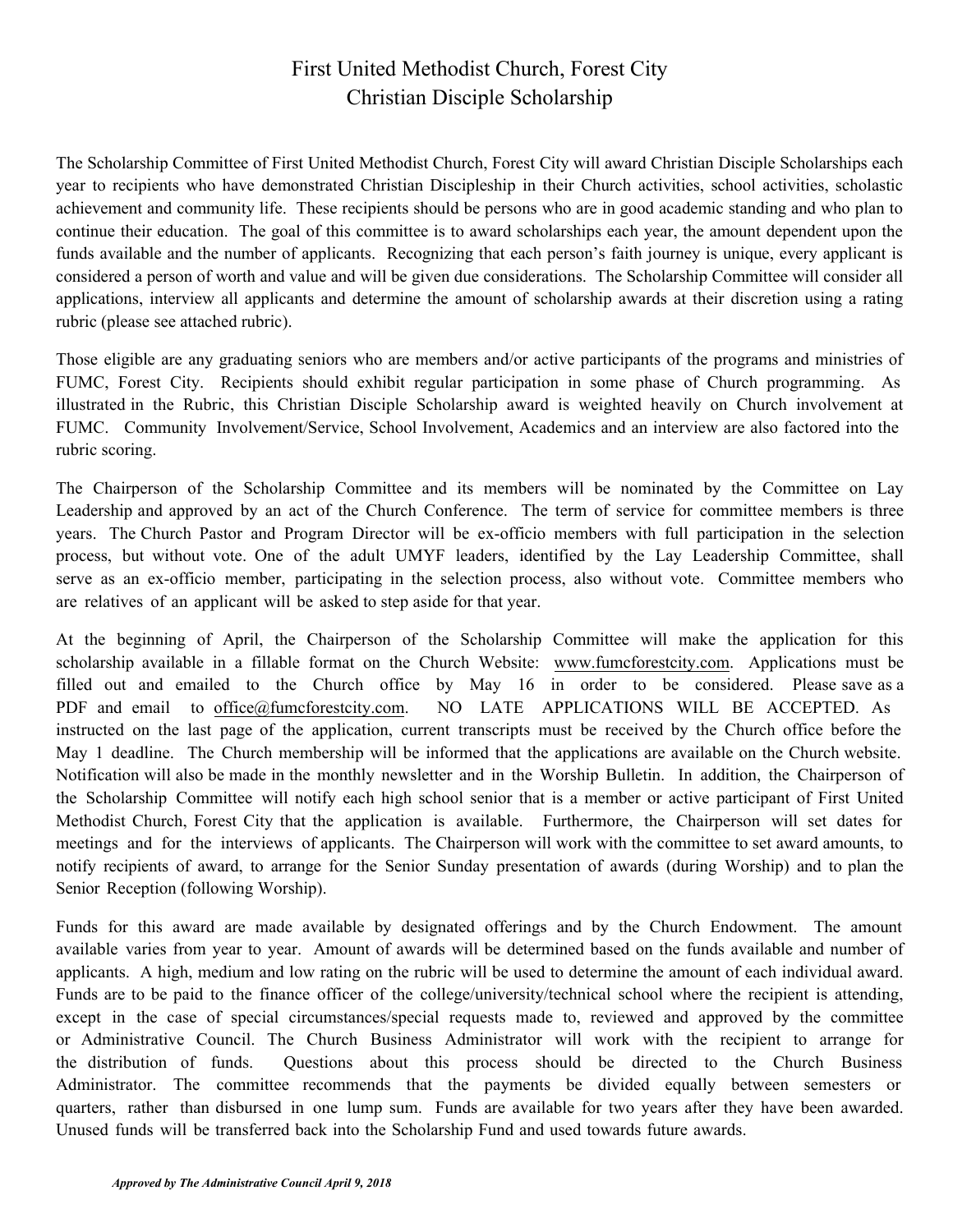## First United Methodist Church, Forest City Christian Disciple Scholarship

The Scholarship Committee of First United Methodist Church, Forest City will award Christian Disciple Scholarships each year to recipients who have demonstrated Christian Discipleship in their Church activities, school activities, scholastic achievement and community life. These recipients should be persons who are in good academic standing and who plan to continue their education. The goal of this committee is to award scholarships each year, the amount dependent upon the funds available and the number of applicants. Recognizing that each person's faith journey is unique, every applicant is considered a person of worth and value and will be given due considerations. The Scholarship Committee will consider all applications, interview all applicants and determine the amount of scholarship awards at their discretion using a rating rubric (please see attached rubric).

Those eligible are any graduating seniors who are members and/or active participants of the programs and ministries of FUMC, Forest City. Recipients should exhibit regular participation in some phase of Church programming. As illustrated in the Rubric, this Christian Disciple Scholarship award is weighted heavily on Church involvement at FUMC. Community Involvement/Service, School Involvement, Academics and an interview are also factored into the rubric scoring.

The Chairperson of the Scholarship Committee and its members will be nominated by the Committee on Lay Leadership and approved by an act of the Church Conference. The term of service for committee members is three years. The Church Pastor and Program Director will be ex-officio members with full participation in the selection process, but without vote. One of the adult UMYF leaders, identified by the Lay Leadership Committee, shall serve as an ex-officio member, participating in the selection process, also without vote. Committee members who are relatives of an applicant will be asked to step aside for that year.

At the beginning of April, the Chairperson of the Scholarship Committee will make the application for this scholarship available in a fillable format on the Church Website: [www.fumcforestcity.com.](http://www.fumcforestcity.com/) Applications must be [filled out and emailed to the Church office by May 1](mailto:office@fumcforestcity.com)6 in order to be considered. Please save as a PDF and email to office@fumcforestcity.com. NO LATE APPLICATIONS WILL BE ACCEPTED. As instructed on the last page of the application, current transcripts must be received by the Church office before the May 1 deadline. The Church membership will be informed that the applications are available on the Church website. Notification will also be made in the monthly newsletter and in the Worship Bulletin. In addition, the Chairperson of the Scholarship Committee will notify each high school senior that is a member or active participant of First United Methodist Church, Forest City that the application is available. Furthermore, the Chairperson will set dates for meetings and for the interviews of applicants. The Chairperson will work with the committee to set award amounts, to notify recipients of award, to arrange for the Senior Sunday presentation of awards (during Worship) and to plan the Senior Reception (following Worship).

Funds for this award are made available by designated offerings and by the Church Endowment. The amount available varies from year to year. Amount of awards will be determined based on the funds available and number of applicants. A high, medium and low rating on the rubric will be used to determine the amount of each individual award. Funds are to be paid to the finance officer of the college/university/technical school where the recipient is attending, except in the case of special circumstances/special requests made to, reviewed and approved by the committee or Administrative Council. The Church Business Administrator will work with the recipient to arrange for the distribution of funds. Questions about this process should be directed to the Church Business Administrator. The committee recommends that the payments be divided equally between semesters or quarters, rather than disbursed in one lump sum. Funds are available for two years after they have been awarded. Unused funds will be transferred back into the Scholarship Fund and used towards future awards.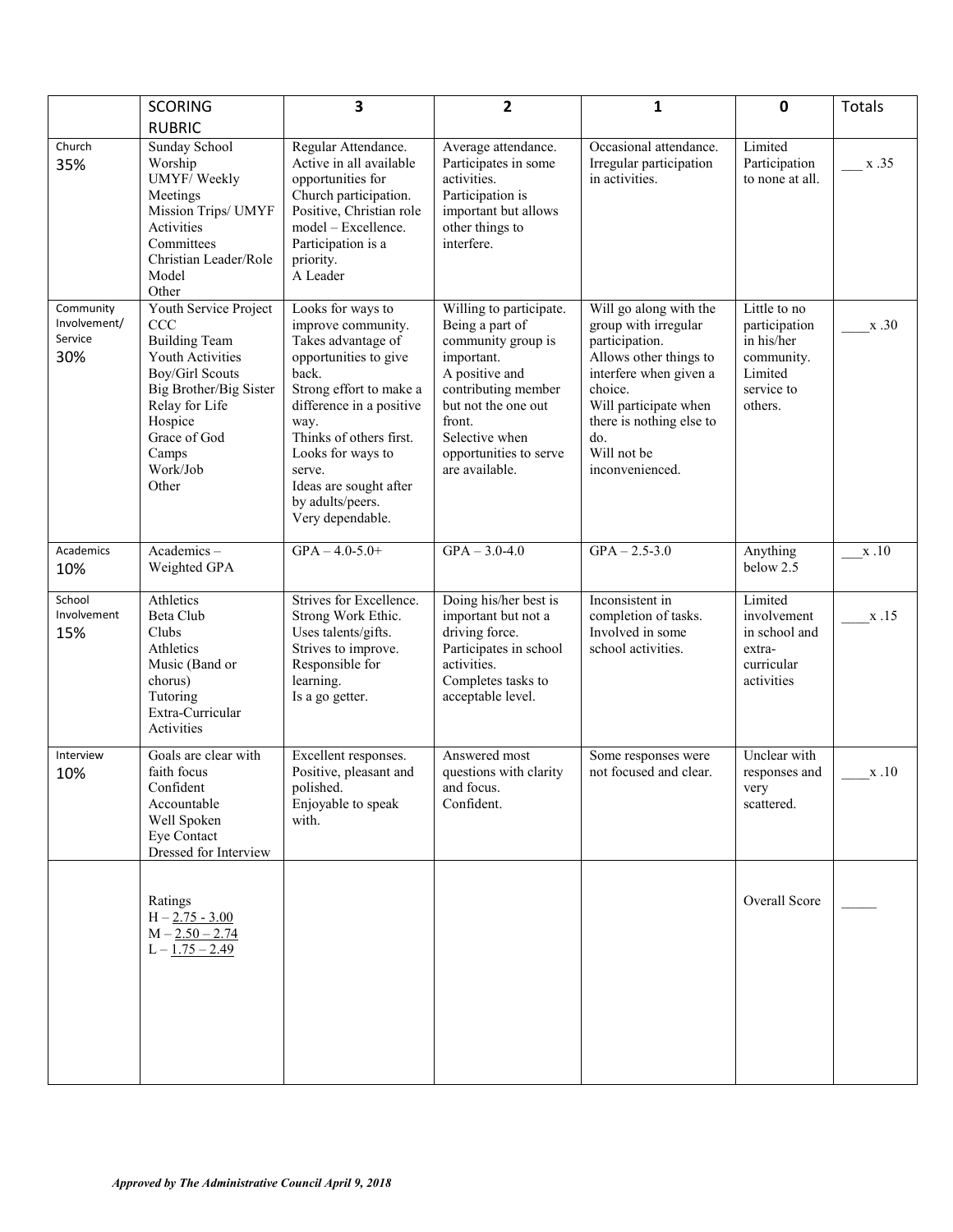|                                             | <b>SCORING</b>                                                                                                                                                                                                 | 3                                                                                                                                                                                                                                                                                          | 2                                                                                                                                                                                                                      | 1                                                                                                                                                                                                                             | 0                                                                                             | Totals                         |
|---------------------------------------------|----------------------------------------------------------------------------------------------------------------------------------------------------------------------------------------------------------------|--------------------------------------------------------------------------------------------------------------------------------------------------------------------------------------------------------------------------------------------------------------------------------------------|------------------------------------------------------------------------------------------------------------------------------------------------------------------------------------------------------------------------|-------------------------------------------------------------------------------------------------------------------------------------------------------------------------------------------------------------------------------|-----------------------------------------------------------------------------------------------|--------------------------------|
| Church<br>35%                               | <b>RUBRIC</b><br>Sunday School<br>Worship<br>UMYF/Weekly<br>Meetings<br>Mission Trips/ UMYF<br>Activities<br>Committees<br>Christian Leader/Role<br>Model<br>Other                                             | Regular Attendance.<br>Active in all available<br>opportunities for<br>Church participation.<br>Positive, Christian role<br>model – Excellence.<br>Participation is a<br>priority.<br>A Leader                                                                                             | Average attendance.<br>Participates in some<br>activities.<br>Participation is<br>important but allows<br>other things to<br>interfere.                                                                                | Occasional attendance.<br>Irregular participation<br>in activities.                                                                                                                                                           | Limited<br>Participation<br>to none at all.                                                   | $\frac{\text{X}.35}{\text{X}}$ |
| Community<br>Involvement/<br>Service<br>30% | Youth Service Project<br>CCC<br><b>Building Team</b><br><b>Youth Activities</b><br><b>Boy/Girl Scouts</b><br>Big Brother/Big Sister<br>Relay for Life<br>Hospice<br>Grace of God<br>Camps<br>Work/Job<br>Other | Looks for ways to<br>improve community.<br>Takes advantage of<br>opportunities to give<br>back.<br>Strong effort to make a<br>difference in a positive<br>way.<br>Thinks of others first.<br>Looks for ways to<br>serve.<br>Ideas are sought after<br>by adults/peers.<br>Very dependable. | Willing to participate.<br>Being a part of<br>community group is<br>important.<br>A positive and<br>contributing member<br>but not the one out<br>front.<br>Selective when<br>opportunities to serve<br>are available. | Will go along with the<br>group with irregular<br>participation.<br>Allows other things to<br>interfere when given a<br>choice.<br>Will participate when<br>there is nothing else to<br>do.<br>Will not be<br>inconvenienced. | Little to no<br>participation<br>in his/her<br>community.<br>Limited<br>service to<br>others. | x.30                           |
| Academics<br>10%                            | Academics-<br>Weighted GPA                                                                                                                                                                                     | $GPA - 4.0 - 5.0 +$                                                                                                                                                                                                                                                                        | $GPA - 3.0 - 4.0$                                                                                                                                                                                                      | $GPA - 2.5 - 3.0$                                                                                                                                                                                                             | Anything<br>below 2.5                                                                         | x.10                           |
| School<br>Involvement<br>15%                | Athletics<br>Beta Club<br>Clubs<br>Athletics<br>Music (Band or<br>chorus)<br>Tutoring<br>Extra-Curricular<br>Activities                                                                                        | Strives for Excellence.<br>Strong Work Ethic.<br>Uses talents/gifts.<br>Strives to improve.<br>Responsible for<br>learning.<br>Is a go getter.                                                                                                                                             | Doing his/her best is<br>important but not a<br>driving force.<br>Participates in school<br>activities.<br>Completes tasks to<br>acceptable level.                                                                     | Inconsistent in<br>completion of tasks.<br>Involved in some<br>school activities.                                                                                                                                             | Limited<br>involvement<br>in school and<br>extra-<br>curricular<br>activities                 | x.15                           |
| Interview<br>10%                            | Goals are clear with<br>faith focus<br>Confident<br>Accountable<br>Well Spoken<br>Eye Contact<br>Dressed for Interview                                                                                         | Excellent responses.<br>Positive, pleasant and<br>polished.<br>Enjoyable to speak<br>with.                                                                                                                                                                                                 | Answered most<br>questions with clarity<br>and focus.<br>Confident.                                                                                                                                                    | Some responses were<br>not focused and clear.                                                                                                                                                                                 | Unclear with<br>responses and<br>very<br>scattered.                                           | x.10                           |
|                                             | Ratings<br>$H - 2.75 - 3.00$<br>$M - 2.50 - 2.74$<br>$L - 1.75 - 2.49$                                                                                                                                         |                                                                                                                                                                                                                                                                                            |                                                                                                                                                                                                                        |                                                                                                                                                                                                                               | Overall Score                                                                                 |                                |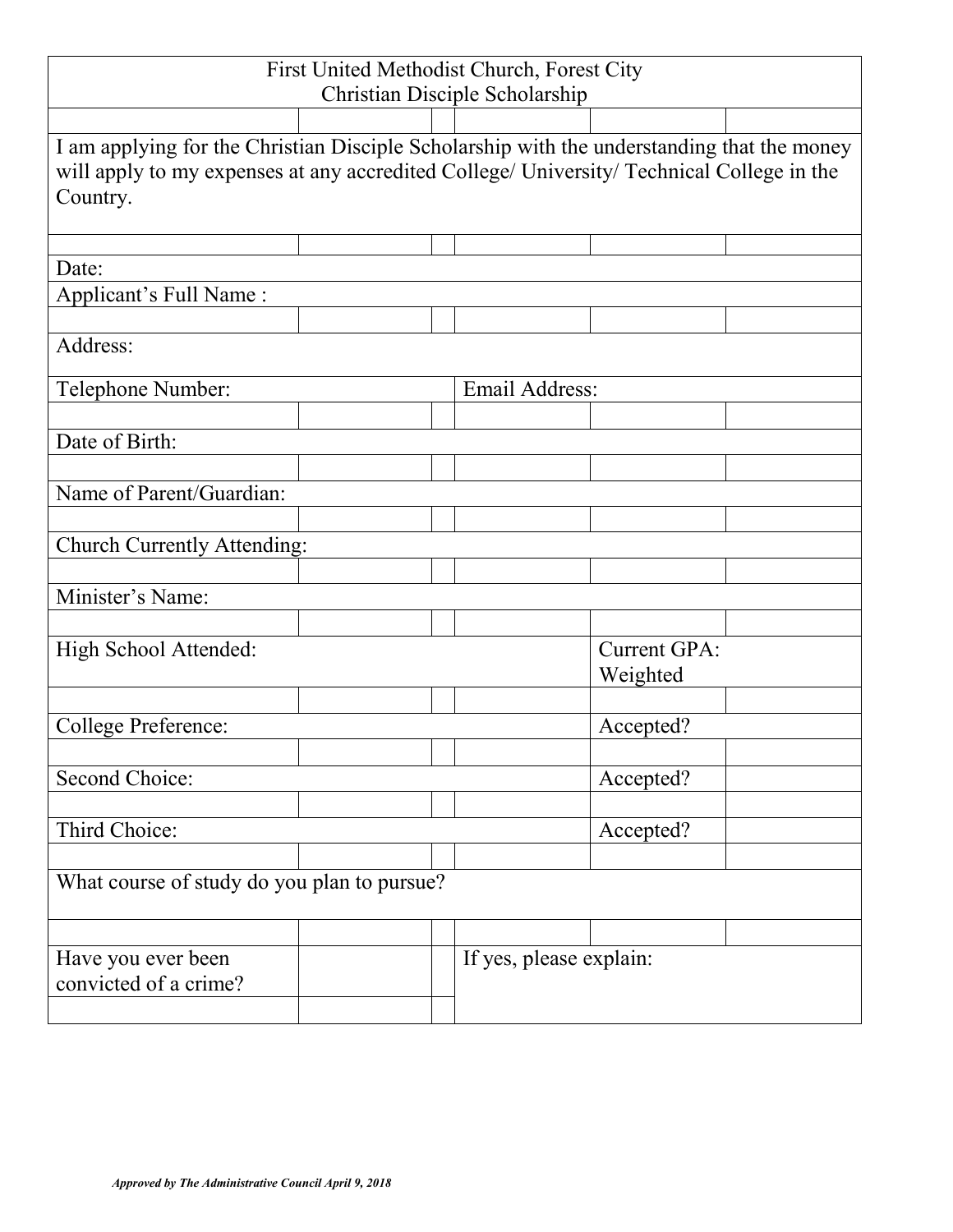| First United Methodist Church, Forest City<br>Christian Disciple Scholarship                          |                          |                                                                                            |  |  |  |  |  |
|-------------------------------------------------------------------------------------------------------|--------------------------|--------------------------------------------------------------------------------------------|--|--|--|--|--|
|                                                                                                       |                          |                                                                                            |  |  |  |  |  |
|                                                                                                       |                          | I am applying for the Christian Disciple Scholarship with the understanding that the money |  |  |  |  |  |
| will apply to my expenses at any accredited College/ University/ Technical College in the<br>Country. |                          |                                                                                            |  |  |  |  |  |
|                                                                                                       |                          |                                                                                            |  |  |  |  |  |
| Date:                                                                                                 |                          |                                                                                            |  |  |  |  |  |
| Applicant's Full Name:                                                                                |                          |                                                                                            |  |  |  |  |  |
|                                                                                                       |                          |                                                                                            |  |  |  |  |  |
| Address:                                                                                              |                          |                                                                                            |  |  |  |  |  |
| Email Address:<br>Telephone Number:                                                                   |                          |                                                                                            |  |  |  |  |  |
|                                                                                                       |                          |                                                                                            |  |  |  |  |  |
| Date of Birth:                                                                                        |                          |                                                                                            |  |  |  |  |  |
|                                                                                                       |                          |                                                                                            |  |  |  |  |  |
| Name of Parent/Guardian:                                                                              |                          |                                                                                            |  |  |  |  |  |
| <b>Church Currently Attending:</b>                                                                    |                          |                                                                                            |  |  |  |  |  |
|                                                                                                       |                          |                                                                                            |  |  |  |  |  |
| Minister's Name:                                                                                      |                          |                                                                                            |  |  |  |  |  |
|                                                                                                       |                          |                                                                                            |  |  |  |  |  |
| High School Attended:                                                                                 | Current GPA:<br>Weighted |                                                                                            |  |  |  |  |  |
| College Preference:                                                                                   |                          |                                                                                            |  |  |  |  |  |
| Accepted?                                                                                             |                          |                                                                                            |  |  |  |  |  |
| Second Choice:                                                                                        |                          | Accepted?                                                                                  |  |  |  |  |  |
|                                                                                                       |                          |                                                                                            |  |  |  |  |  |
| Third Choice:                                                                                         |                          | Accepted?                                                                                  |  |  |  |  |  |
|                                                                                                       |                          |                                                                                            |  |  |  |  |  |
| What course of study do you plan to pursue?                                                           |                          |                                                                                            |  |  |  |  |  |
|                                                                                                       |                          |                                                                                            |  |  |  |  |  |
| Have you ever been<br>convicted of a crime?                                                           |                          | If yes, please explain:                                                                    |  |  |  |  |  |
|                                                                                                       |                          |                                                                                            |  |  |  |  |  |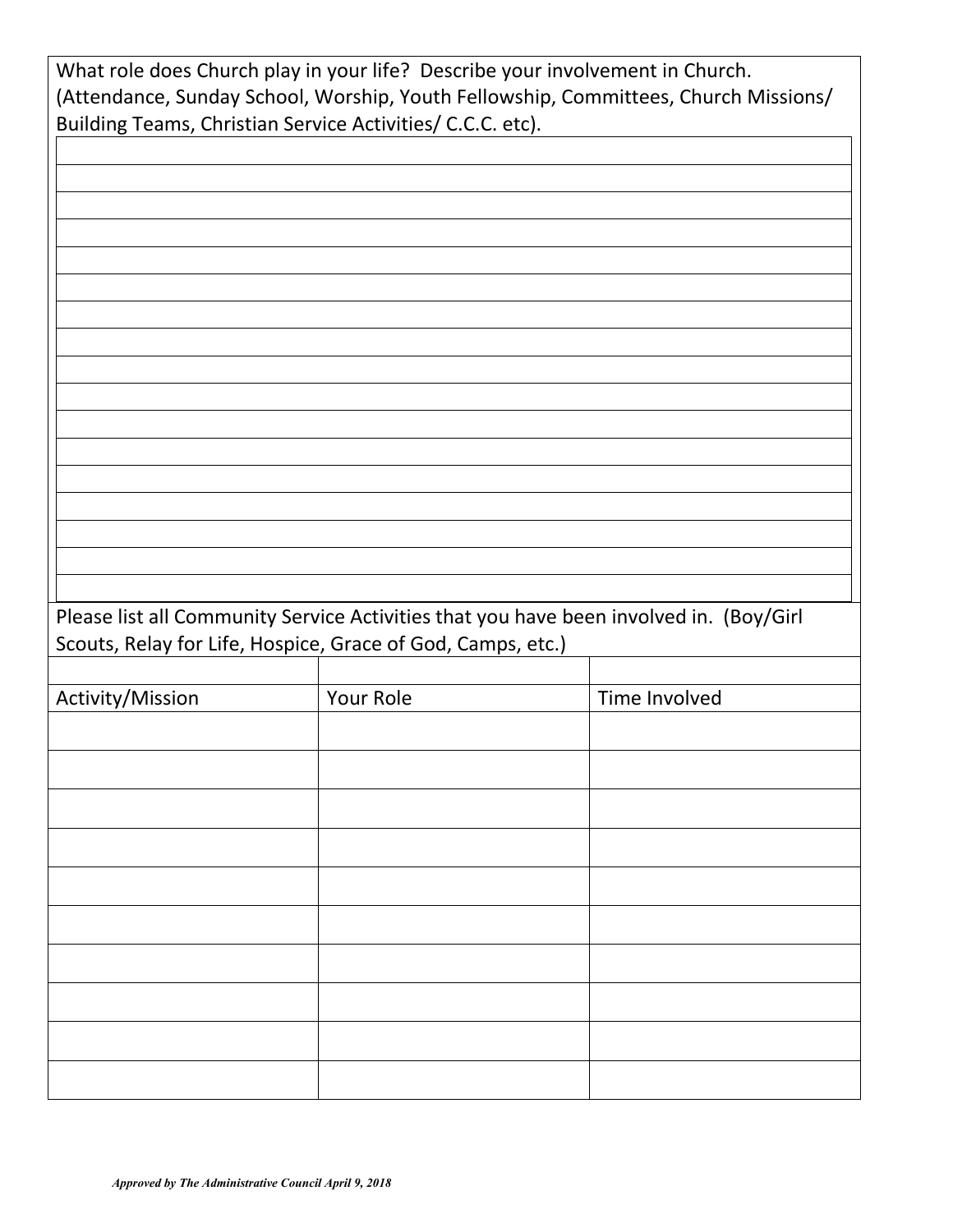|                  | Building Teams, Christian Service Activities/ C.C.C. etc).  |                                                                                        |
|------------------|-------------------------------------------------------------|----------------------------------------------------------------------------------------|
|                  |                                                             |                                                                                        |
|                  |                                                             |                                                                                        |
|                  |                                                             |                                                                                        |
|                  |                                                             |                                                                                        |
|                  |                                                             |                                                                                        |
|                  |                                                             |                                                                                        |
|                  |                                                             |                                                                                        |
|                  |                                                             |                                                                                        |
|                  |                                                             |                                                                                        |
|                  |                                                             |                                                                                        |
|                  |                                                             |                                                                                        |
|                  |                                                             |                                                                                        |
|                  |                                                             |                                                                                        |
|                  |                                                             | Please list all Community Service Activities that you have been involved in. (Boy/Girl |
|                  | Scouts, Relay for Life, Hospice, Grace of God, Camps, etc.) |                                                                                        |
|                  | Your Role                                                   | Time Involved                                                                          |
|                  |                                                             |                                                                                        |
|                  |                                                             |                                                                                        |
|                  |                                                             |                                                                                        |
|                  |                                                             |                                                                                        |
|                  |                                                             |                                                                                        |
|                  |                                                             |                                                                                        |
|                  |                                                             |                                                                                        |
|                  |                                                             |                                                                                        |
| Activity/Mission |                                                             |                                                                                        |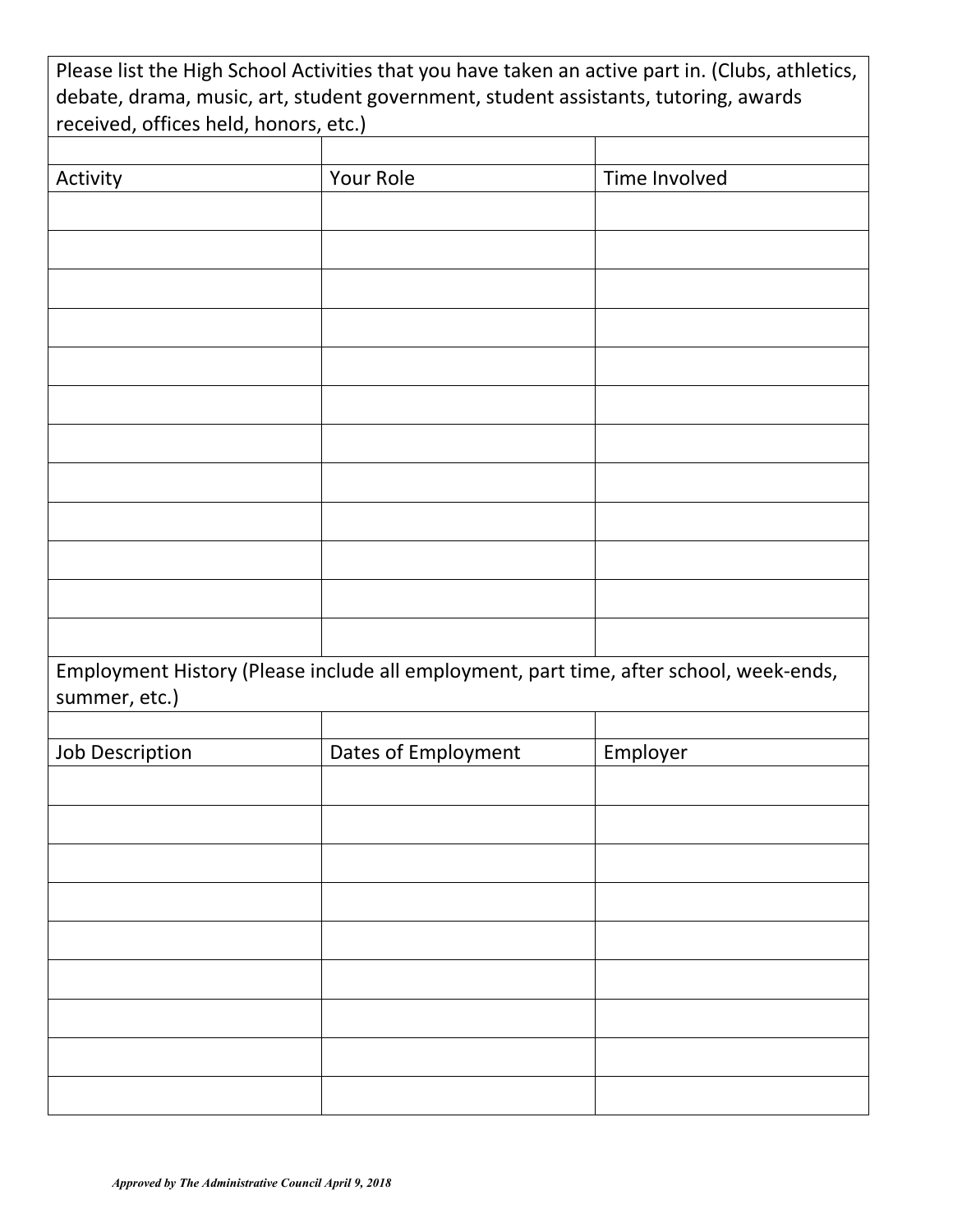|                                       | Please list the High School Activities that you have taken an active part in. (Clubs, athletics,<br>debate, drama, music, art, student government, student assistants, tutoring, awards |               |  |
|---------------------------------------|-----------------------------------------------------------------------------------------------------------------------------------------------------------------------------------------|---------------|--|
| received, offices held, honors, etc.) |                                                                                                                                                                                         |               |  |
| Activity                              | Your Role                                                                                                                                                                               | Time Involved |  |
|                                       |                                                                                                                                                                                         |               |  |
|                                       |                                                                                                                                                                                         |               |  |
|                                       |                                                                                                                                                                                         |               |  |
|                                       |                                                                                                                                                                                         |               |  |
|                                       |                                                                                                                                                                                         |               |  |
|                                       |                                                                                                                                                                                         |               |  |
|                                       |                                                                                                                                                                                         |               |  |
|                                       |                                                                                                                                                                                         |               |  |
|                                       |                                                                                                                                                                                         |               |  |
|                                       |                                                                                                                                                                                         |               |  |
| summer, etc.)                         | Employment History (Please include all employment, part time, after school, week-ends,                                                                                                  |               |  |
|                                       |                                                                                                                                                                                         |               |  |
| Job Description                       | Dates of Employment                                                                                                                                                                     | Employer      |  |
|                                       |                                                                                                                                                                                         |               |  |
|                                       |                                                                                                                                                                                         |               |  |
|                                       |                                                                                                                                                                                         |               |  |
|                                       |                                                                                                                                                                                         |               |  |
|                                       |                                                                                                                                                                                         |               |  |
|                                       |                                                                                                                                                                                         |               |  |
|                                       |                                                                                                                                                                                         |               |  |
|                                       |                                                                                                                                                                                         |               |  |